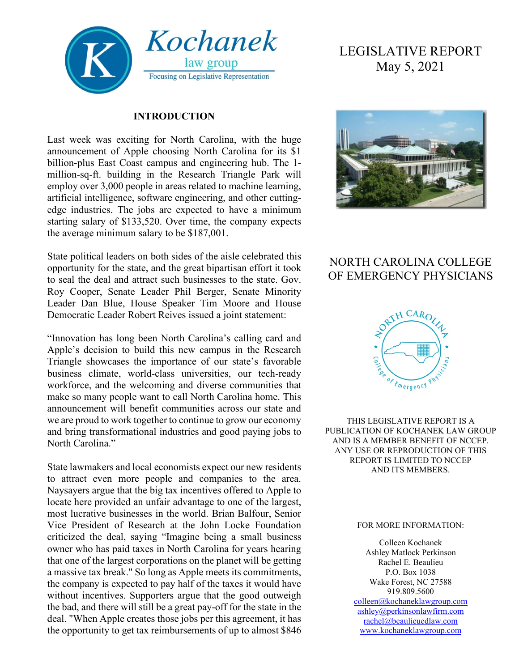

#### **INTRODUCTION**

Last week was exciting for North Carolina, with the huge announcement of Apple choosing North Carolina for its \$1 billion-plus East Coast campus and engineering hub. The 1 million-sq-ft. building in the Research Triangle Park will employ over 3,000 people in areas related to machine learning, artificial intelligence, software engineering, and other cuttingedge industries. The jobs are expected to have a minimum starting salary of \$133,520. Over time, the company expects the average minimum salary to be \$187,001.

State political leaders on both sides of the aisle celebrated this opportunity for the state, and the great bipartisan effort it took to seal the deal and attract such businesses to the state. Gov. Roy Cooper, Senate Leader Phil Berger, Senate Minority Leader Dan Blue, House Speaker Tim Moore and House Democratic Leader Robert Reives issued a joint statement:

"Innovation has long been North Carolina's calling card and Apple's decision to build this new campus in the Research Triangle showcases the importance of our state's favorable business climate, world-class universities, our tech-ready workforce, and the welcoming and diverse communities that make so many people want to call North Carolina home. This announcement will benefit communities across our state and we are proud to work together to continue to grow our economy and bring transformational industries and good paying jobs to North Carolina."

State lawmakers and local economists expect our new residents to attract even more people and companies to the area. Naysayers argue that the big tax incentives offered to Apple to locate here provided an unfair advantage to one of the largest, most lucrative businesses in the world. Brian Balfour, Senior Vice President of Research at the John Locke Foundation criticized the deal, saying "Imagine being a small business owner who has paid taxes in North Carolina for years hearing that one of the largest corporations on the planet will be getting a massive tax break." So long as Apple meets its commitments, the company is expected to pay half of the taxes it would have without incentives. Supporters argue that the good outweigh the bad, and there will still be a great pay-off for the state in the deal. "When Apple creates those jobs per this agreement, it has the opportunity to get tax reimbursements of up to almost \$846

# LEGISLATIVE REPORT May 5, 2021



## NORTH CAROLINA COLLEGE OF EMERGENCY PHYSICIANS



THIS LEGISLATIVE REPORT IS A PUBLICATION OF KOCHANEK LAW GROUP AND IS A MEMBER BENEFIT OF NCCEP. ANY USE OR REPRODUCTION OF THIS REPORT IS LIMITED TO NCCEP AND ITS MEMBERS.

#### FOR MORE INFORMATION:

Colleen Kochanek Ashley Matlock Perkinson Rachel E. Beaulieu P.O. Box 1038 Wake Forest, NC 27588 919.809.5600 [colleen@kochaneklawgroup.com](mailto:colleen@kochaneklawgroup.com)

[ashley@perkinsonlawfirm.com](mailto:ashley@perkinsonlawfirm.com) [rachel@beaulieuedlaw.com](mailto:rachel@beaulieuedlaw.com) [www.kochaneklawgroup.com](http://www.kochaneklawgroup.com/)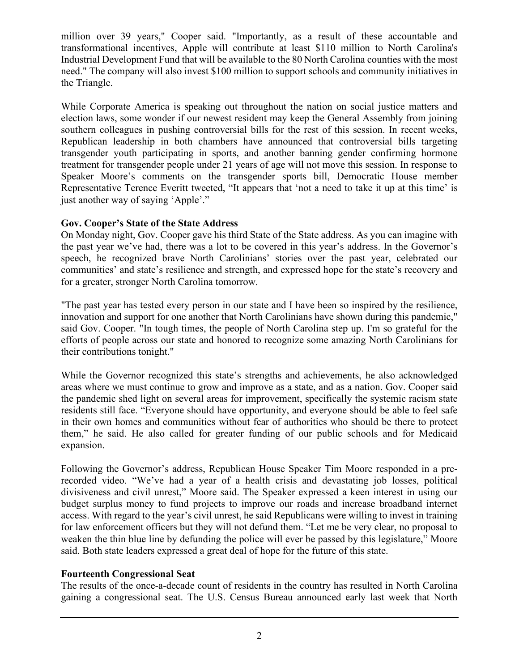million over 39 years," Cooper said. "Importantly, as a result of these accountable and transformational incentives, Apple will contribute at least \$110 million to North Carolina's Industrial Development Fund that will be available to the 80 North Carolina counties with the most need." The company will also invest \$100 million to support schools and community initiatives in the Triangle.

While Corporate America is speaking out throughout the nation on social justice matters and election laws, some wonder if our newest resident may keep the General Assembly from joining southern colleagues in pushing controversial bills for the rest of this session. In recent weeks, Republican leadership in both chambers have announced that controversial bills targeting transgender youth participating in sports, and another banning gender confirming hormone treatment for transgender people under 21 years of age will not move this session. In response to Speaker Moore's comments on the transgender sports bill, Democratic House member Representative Terence Everitt tweeted, "It appears that 'not a need to take it up at this time' is just another way of saying 'Apple'."

## **Gov. Cooper's State of the State Address**

On Monday night, Gov. Cooper gave his third State of the State address. As you can imagine with the past year we've had, there was a lot to be covered in this year's address. In the Governor's speech, he recognized brave North Carolinians' stories over the past year, celebrated our communities' and state's resilience and strength, and expressed hope for the state's recovery and for a greater, stronger North Carolina tomorrow.

"The past year has tested every person in our state and I have been so inspired by the resilience, innovation and support for one another that North Carolinians have shown during this pandemic," said Gov. Cooper. "In tough times, the people of North Carolina step up. I'm so grateful for the efforts of people across our state and honored to recognize some amazing North Carolinians for their contributions tonight."

While the Governor recognized this state's strengths and achievements, he also acknowledged areas where we must continue to grow and improve as a state, and as a nation. Gov. Cooper said the pandemic shed light on several areas for improvement, specifically the systemic racism state residents still face. "Everyone should have opportunity, and everyone should be able to feel safe in their own homes and communities without fear of authorities who should be there to protect them," he said. He also called for greater funding of our public schools and for Medicaid expansion.

Following the Governor's address, Republican House Speaker Tim Moore responded in a prerecorded video. "We've had a year of a health crisis and devastating job losses, political divisiveness and civil unrest," Moore said. The Speaker expressed a keen interest in using our budget surplus money to fund projects to improve our roads and increase broadband internet access. With regard to the year's civil unrest, he said Republicans were willing to invest in training for law enforcement officers but they will not defund them. "Let me be very clear, no proposal to weaken the thin blue line by defunding the police will ever be passed by this legislature," Moore said. Both state leaders expressed a great deal of hope for the future of this state.

## **Fourteenth Congressional Seat**

The results of the once-a-decade count of residents in the country has resulted in North Carolina gaining a congressional seat. The U.S. Census Bureau announced early last week that North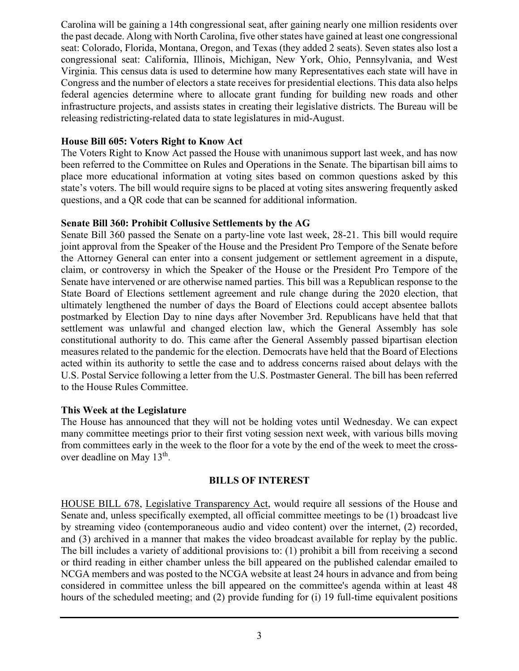Carolina will be gaining a 14th congressional seat, after gaining nearly one million residents over the past decade. Along with North Carolina, five other states have gained at least one congressional seat: Colorado, Florida, Montana, Oregon, and Texas (they added 2 seats). Seven states also lost a congressional seat: California, Illinois, Michigan, New York, Ohio, Pennsylvania, and West Virginia. This census data is used to determine how many Representatives each state will have in Congress and the number of electors a state receives for presidential elections. This data also helps federal agencies determine where to allocate grant funding for building new roads and other infrastructure projects, and assists states in creating their legislative districts. The Bureau will be releasing redistricting-related data to state legislatures in mid-August.

#### **House Bill 605: Voters Right to Know Act**

The Voters Right to Know Act passed the House with unanimous support last week, and has now been referred to the Committee on Rules and Operations in the Senate. The bipartisan bill aims to place more educational information at voting sites based on common questions asked by this state's voters. The bill would require signs to be placed at voting sites answering frequently asked questions, and a QR code that can be scanned for additional information.

#### **Senate Bill 360: Prohibit Collusive Settlements by the AG**

Senate Bill 360 passed the Senate on a party-line vote last week, 28-21. This bill would require joint approval from the Speaker of the House and the President Pro Tempore of the Senate before the Attorney General can enter into a consent judgement or settlement agreement in a dispute, claim, or controversy in which the Speaker of the House or the President Pro Tempore of the Senate have intervened or are otherwise named parties. This bill was a Republican response to the State Board of Elections settlement agreement and rule change during the 2020 election, that ultimately lengthened the number of days the Board of Elections could accept absentee ballots postmarked by Election Day to nine days after November 3rd. Republicans have held that that settlement was unlawful and changed election law, which the General Assembly has sole constitutional authority to do. This came after the General Assembly passed bipartisan election measures related to the pandemic for the election. Democrats have held that the Board of Elections acted within its authority to settle the case and to address concerns raised about delays with the U.S. Postal Service following a letter from the U.S. Postmaster General. The bill has been referred to the House Rules Committee.

## **This Week at the Legislature**

The House has announced that they will not be holding votes until Wednesday. We can expect many committee meetings prior to their first voting session next week, with various bills moving from committees early in the week to the floor for a vote by the end of the week to meet the crossover deadline on May 13<sup>th</sup>.

#### **BILLS OF INTEREST**

HOUSE BILL 678, Legislative Transparency Act, would require all sessions of the House and Senate and, unless specifically exempted, all official committee meetings to be (1) broadcast live by streaming video (contemporaneous audio and video content) over the internet, (2) recorded, and (3) archived in a manner that makes the video broadcast available for replay by the public. The bill includes a variety of additional provisions to: (1) prohibit a bill from receiving a second or third reading in either chamber unless the bill appeared on the published calendar emailed to NCGA members and was posted to the NCGA website at least 24 hours in advance and from being considered in committee unless the bill appeared on the committee's agenda within at least 48 hours of the scheduled meeting; and (2) provide funding for (i) 19 full-time equivalent positions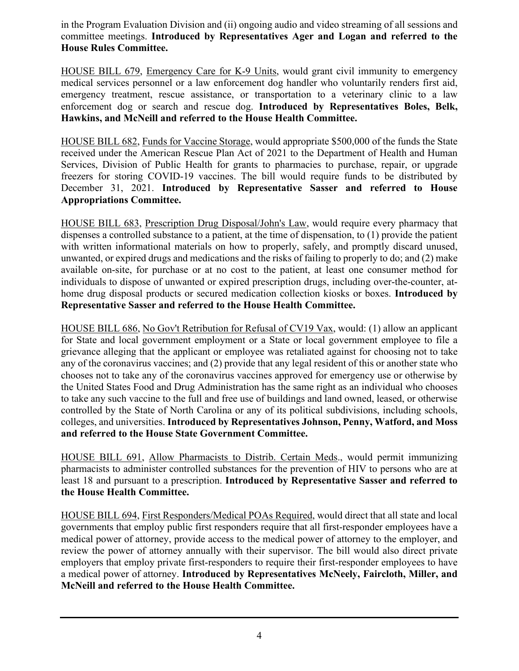in the Program Evaluation Division and (ii) ongoing audio and video streaming of all sessions and committee meetings. **Introduced by Representatives Ager and Logan and referred to the House Rules Committee.**

HOUSE BILL 679, Emergency Care for K-9 Units, would grant civil immunity to emergency medical services personnel or a law enforcement dog handler who voluntarily renders first aid, emergency treatment, rescue assistance, or transportation to a veterinary clinic to a law enforcement dog or search and rescue dog. **Introduced by Representatives Boles, Belk, Hawkins, and McNeill and referred to the House Health Committee.**

HOUSE BILL 682, Funds for Vaccine Storage, would appropriate \$500,000 of the funds the State received under the American Rescue Plan Act of 2021 to the Department of Health and Human Services, Division of Public Health for grants to pharmacies to purchase, repair, or upgrade freezers for storing COVID-19 vaccines. The bill would require funds to be distributed by December 31, 2021. **Introduced by Representative Sasser and referred to House Appropriations Committee.**

HOUSE BILL 683, Prescription Drug Disposal/John's Law, would require every pharmacy that dispenses a controlled substance to a patient, at the time of dispensation, to (1) provide the patient with written informational materials on how to properly, safely, and promptly discard unused, unwanted, or expired drugs and medications and the risks of failing to properly to do; and (2) make available on-site, for purchase or at no cost to the patient, at least one consumer method for individuals to dispose of unwanted or expired prescription drugs, including over-the-counter, athome drug disposal products or secured medication collection kiosks or boxes. **Introduced by Representative Sasser and referred to the House Health Committee.**

HOUSE BILL 686, No Gov't Retribution for Refusal of CV19 Vax, would: (1) allow an applicant for State and local government employment or a State or local government employee to file a grievance alleging that the applicant or employee was retaliated against for choosing not to take any of the coronavirus vaccines; and (2) provide that any legal resident of this or another state who chooses not to take any of the coronavirus vaccines approved for emergency use or otherwise by the United States Food and Drug Administration has the same right as an individual who chooses to take any such vaccine to the full and free use of buildings and land owned, leased, or otherwise controlled by the State of North Carolina or any of its political subdivisions, including schools, colleges, and universities. **Introduced by Representatives Johnson, Penny, Watford, and Moss and referred to the House State Government Committee.**

HOUSE BILL 691, Allow Pharmacists to Distrib. Certain Meds., would permit immunizing pharmacists to administer controlled substances for the prevention of HIV to persons who are at least 18 and pursuant to a prescription. **Introduced by Representative Sasser and referred to the House Health Committee.**

HOUSE BILL 694, First Responders/Medical POAs Required, would direct that all state and local governments that employ public first responders require that all first-responder employees have a medical power of attorney, provide access to the medical power of attorney to the employer, and review the power of attorney annually with their supervisor. The bill would also direct private employers that employ private first-responders to require their first-responder employees to have a medical power of attorney. **Introduced by Representatives McNeely, Faircloth, Miller, and McNeill and referred to the House Health Committee.**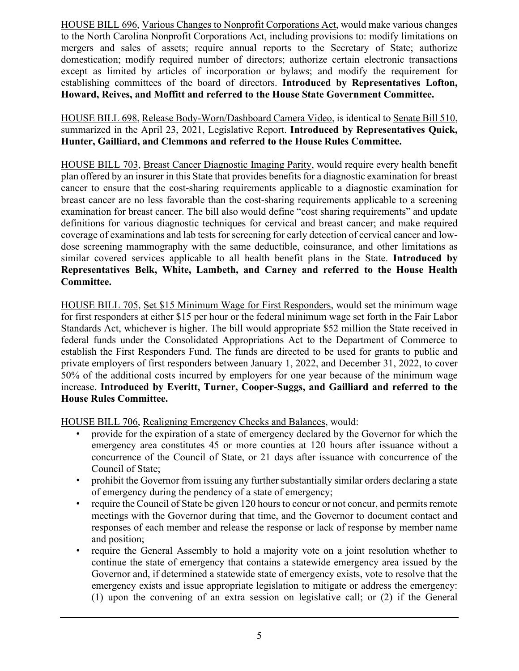HOUSE BILL 696, Various Changes to Nonprofit Corporations Act, would make various changes to the North Carolina Nonprofit Corporations Act, including provisions to: modify limitations on mergers and sales of assets; require annual reports to the Secretary of State; authorize domestication; modify required number of directors; authorize certain electronic transactions except as limited by articles of incorporation or bylaws; and modify the requirement for establishing committees of the board of directors. **Introduced by Representatives Lofton, Howard, Reives, and Moffitt and referred to the House State Government Committee.**

HOUSE BILL 698, Release Body-Worn/Dashboard Camera Video, is identical to Senate Bill 510, summarized in the April 23, 2021, Legislative Report. **Introduced by Representatives Quick, Hunter, Gailliard, and Clemmons and referred to the House Rules Committee.**

HOUSE BILL 703, Breast Cancer Diagnostic Imaging Parity, would require every health benefit plan offered by an insurer in this State that provides benefits for a diagnostic examination for breast cancer to ensure that the cost-sharing requirements applicable to a diagnostic examination for breast cancer are no less favorable than the cost-sharing requirements applicable to a screening examination for breast cancer. The bill also would define "cost sharing requirements" and update definitions for various diagnostic techniques for cervical and breast cancer; and make required coverage of examinations and lab tests for screening for early detection of cervical cancer and lowdose screening mammography with the same deductible, coinsurance, and other limitations as similar covered services applicable to all health benefit plans in the State. **Introduced by Representatives Belk, White, Lambeth, and Carney and referred to the House Health Committee.**

HOUSE BILL 705, Set \$15 Minimum Wage for First Responders, would set the minimum wage for first responders at either \$15 per hour or the federal minimum wage set forth in the Fair Labor Standards Act, whichever is higher. The bill would appropriate \$52 million the State received in federal funds under the Consolidated Appropriations Act to the Department of Commerce to establish the First Responders Fund. The funds are directed to be used for grants to public and private employers of first responders between January 1, 2022, and December 31, 2022, to cover 50% of the additional costs incurred by employers for one year because of the minimum wage increase. **Introduced by Everitt, Turner, Cooper-Suggs, and Gailliard and referred to the House Rules Committee.**

HOUSE BILL 706, Realigning Emergency Checks and Balances, would:

- provide for the expiration of a state of emergency declared by the Governor for which the emergency area constitutes 45 or more counties at 120 hours after issuance without a concurrence of the Council of State, or 21 days after issuance with concurrence of the Council of State;
- prohibit the Governor from issuing any further substantially similar orders declaring a state of emergency during the pendency of a state of emergency;
- require the Council of State be given 120 hours to concur or not concur, and permits remote meetings with the Governor during that time, and the Governor to document contact and responses of each member and release the response or lack of response by member name and position;
- require the General Assembly to hold a majority vote on a joint resolution whether to continue the state of emergency that contains a statewide emergency area issued by the Governor and, if determined a statewide state of emergency exists, vote to resolve that the emergency exists and issue appropriate legislation to mitigate or address the emergency: (1) upon the convening of an extra session on legislative call; or (2) if the General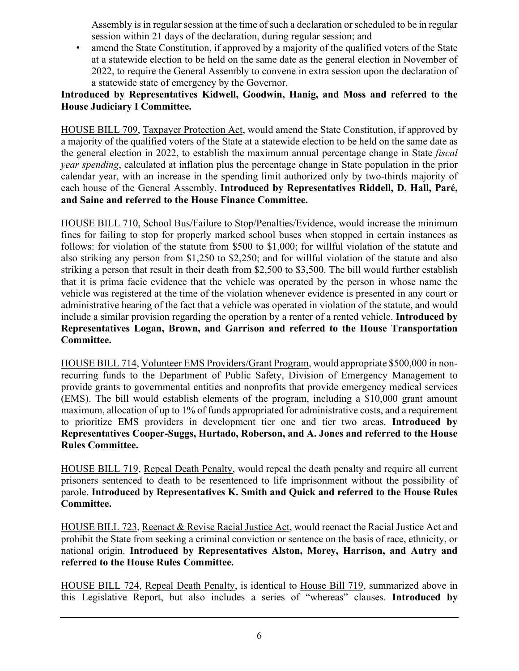Assembly is in regular session at the time of such a declaration or scheduled to be in regular session within 21 days of the declaration, during regular session; and

• amend the State Constitution, if approved by a majority of the qualified voters of the State at a statewide election to be held on the same date as the general election in November of 2022, to require the General Assembly to convene in extra session upon the declaration of a statewide state of emergency by the Governor.

## **Introduced by Representatives Kidwell, Goodwin, Hanig, and Moss and referred to the House Judiciary I Committee.**

HOUSE BILL 709, Taxpayer Protection Act, would amend the State Constitution, if approved by a majority of the qualified voters of the State at a statewide election to be held on the same date as the general election in 2022, to establish the maximum annual percentage change in State *fiscal year spending*, calculated at inflation plus the percentage change in State population in the prior calendar year, with an increase in the spending limit authorized only by two-thirds majority of each house of the General Assembly. **Introduced by Representatives Riddell, D. Hall, Paré, and Saine and referred to the House Finance Committee.**

HOUSE BILL 710, School Bus/Failure to Stop/Penalties/Evidence, would increase the minimum fines for failing to stop for properly marked school buses when stopped in certain instances as follows: for violation of the statute from \$500 to \$1,000; for willful violation of the statute and also striking any person from \$1,250 to \$2,250; and for willful violation of the statute and also striking a person that result in their death from \$2,500 to \$3,500. The bill would further establish that it is prima facie evidence that the vehicle was operated by the person in whose name the vehicle was registered at the time of the violation whenever evidence is presented in any court or administrative hearing of the fact that a vehicle was operated in violation of the statute, and would include a similar provision regarding the operation by a renter of a rented vehicle. **Introduced by Representatives Logan, Brown, and Garrison and referred to the House Transportation Committee.**

HOUSE BILL 714, Volunteer EMS Providers/Grant Program, would appropriate \$500,000 in nonrecurring funds to the Department of Public Safety, Division of Emergency Management to provide grants to governmental entities and nonprofits that provide emergency medical services (EMS). The bill would establish elements of the program, including a \$10,000 grant amount maximum, allocation of up to 1% of funds appropriated for administrative costs, and a requirement to prioritize EMS providers in development tier one and tier two areas. **Introduced by Representatives Cooper-Suggs, Hurtado, Roberson, and A. Jones and referred to the House Rules Committee.**

HOUSE BILL 719, Repeal Death Penalty, would repeal the death penalty and require all current prisoners sentenced to death to be resentenced to life imprisonment without the possibility of parole. **Introduced by Representatives K. Smith and Quick and referred to the House Rules Committee.**

HOUSE BILL 723, Reenact & Revise Racial Justice Act, would reenact the Racial Justice Act and prohibit the State from seeking a criminal conviction or sentence on the basis of race, ethnicity, or national origin. **Introduced by Representatives Alston, Morey, Harrison, and Autry and referred to the House Rules Committee.**

HOUSE BILL 724, Repeal Death Penalty, is identical to House Bill 719, summarized above in this Legislative Report, but also includes a series of "whereas" clauses. **Introduced by**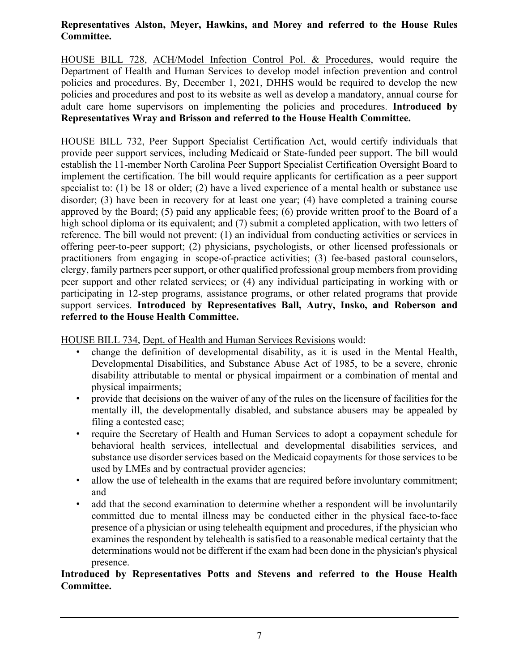## **Representatives Alston, Meyer, Hawkins, and Morey and referred to the House Rules Committee.**

HOUSE BILL 728, ACH/Model Infection Control Pol. & Procedures, would require the Department of Health and Human Services to develop model infection prevention and control policies and procedures. By, December 1, 2021, DHHS would be required to develop the new policies and procedures and post to its website as well as develop a mandatory, annual course for adult care home supervisors on implementing the policies and procedures. **Introduced by Representatives Wray and Brisson and referred to the House Health Committee.**

HOUSE BILL 732, Peer Support Specialist Certification Act, would certify individuals that provide peer support services, including Medicaid or State-funded peer support. The bill would establish the 11-member North Carolina Peer Support Specialist Certification Oversight Board to implement the certification. The bill would require applicants for certification as a peer support specialist to: (1) be 18 or older; (2) have a lived experience of a mental health or substance use disorder; (3) have been in recovery for at least one year; (4) have completed a training course approved by the Board; (5) paid any applicable fees; (6) provide written proof to the Board of a high school diploma or its equivalent; and (7) submit a completed application, with two letters of reference. The bill would not prevent: (1) an individual from conducting activities or services in offering peer-to-peer support; (2) physicians, psychologists, or other licensed professionals or practitioners from engaging in scope-of-practice activities; (3) fee-based pastoral counselors, clergy, family partners peer support, or other qualified professional group members from providing peer support and other related services; or (4) any individual participating in working with or participating in 12-step programs, assistance programs, or other related programs that provide support services. **Introduced by Representatives Ball, Autry, Insko, and Roberson and referred to the House Health Committee.**

HOUSE BILL 734, Dept. of Health and Human Services Revisions would:

- change the definition of developmental disability, as it is used in the Mental Health, Developmental Disabilities, and Substance Abuse Act of 1985, to be a severe, chronic disability attributable to mental or physical impairment or a combination of mental and physical impairments;
- provide that decisions on the waiver of any of the rules on the licensure of facilities for the mentally ill, the developmentally disabled, and substance abusers may be appealed by filing a contested case;
- require the Secretary of Health and Human Services to adopt a copayment schedule for behavioral health services, intellectual and developmental disabilities services, and substance use disorder services based on the Medicaid copayments for those services to be used by LMEs and by contractual provider agencies;
- allow the use of telehealth in the exams that are required before involuntary commitment; and
- add that the second examination to determine whether a respondent will be involuntarily committed due to mental illness may be conducted either in the physical face-to-face presence of a physician or using telehealth equipment and procedures, if the physician who examines the respondent by telehealth is satisfied to a reasonable medical certainty that the determinations would not be different if the exam had been done in the physician's physical presence.

## **Introduced by Representatives Potts and Stevens and referred to the House Health Committee.**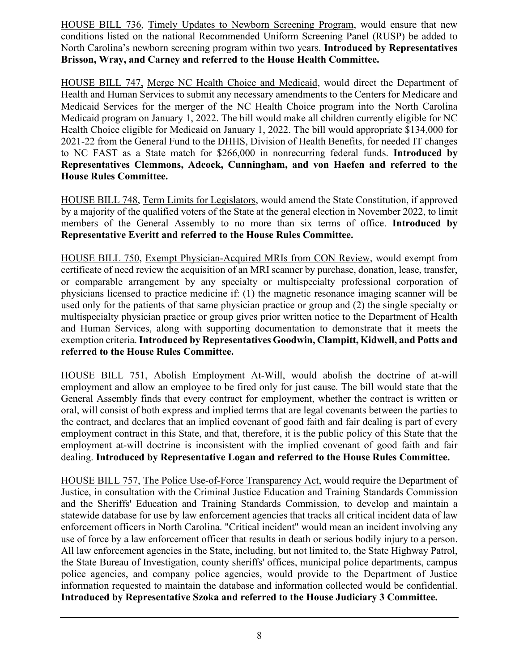HOUSE BILL 736, Timely Updates to Newborn Screening Program, would ensure that new conditions listed on the national Recommended Uniform Screening Panel (RUSP) be added to North Carolina's newborn screening program within two years. **Introduced by Representatives Brisson, Wray, and Carney and referred to the House Health Committee.**

HOUSE BILL 747, Merge NC Health Choice and Medicaid, would direct the Department of Health and Human Services to submit any necessary amendments to the Centers for Medicare and Medicaid Services for the merger of the NC Health Choice program into the North Carolina Medicaid program on January 1, 2022. The bill would make all children currently eligible for NC Health Choice eligible for Medicaid on January 1, 2022. The bill would appropriate \$134,000 for 2021-22 from the General Fund to the DHHS, Division of Health Benefits, for needed IT changes to NC FAST as a State match for \$266,000 in nonrecurring federal funds. **Introduced by Representatives Clemmons, Adcock, Cunningham, and von Haefen and referred to the House Rules Committee.**

HOUSE BILL 748, Term Limits for Legislators, would amend the State Constitution, if approved by a majority of the qualified voters of the State at the general election in November 2022, to limit members of the General Assembly to no more than six terms of office. **Introduced by Representative Everitt and referred to the House Rules Committee.**

HOUSE BILL 750, Exempt Physician-Acquired MRIs from CON Review, would exempt from certificate of need review the acquisition of an MRI scanner by purchase, donation, lease, transfer, or comparable arrangement by any specialty or multispecialty professional corporation of physicians licensed to practice medicine if: (1) the magnetic resonance imaging scanner will be used only for the patients of that same physician practice or group and (2) the single specialty or multispecialty physician practice or group gives prior written notice to the Department of Health and Human Services, along with supporting documentation to demonstrate that it meets the exemption criteria. **Introduced by Representatives Goodwin, Clampitt, Kidwell, and Potts and referred to the House Rules Committee.**

HOUSE BILL 751, Abolish Employment At-Will, would abolish the doctrine of at-will employment and allow an employee to be fired only for just cause. The bill would state that the General Assembly finds that every contract for employment, whether the contract is written or oral, will consist of both express and implied terms that are legal covenants between the parties to the contract, and declares that an implied covenant of good faith and fair dealing is part of every employment contract in this State, and that, therefore, it is the public policy of this State that the employment at-will doctrine is inconsistent with the implied covenant of good faith and fair dealing. **Introduced by Representative Logan and referred to the House Rules Committee.**

HOUSE BILL 757, The Police Use-of-Force Transparency Act, would require the Department of Justice, in consultation with the Criminal Justice Education and Training Standards Commission and the Sheriffs' Education and Training Standards Commission, to develop and maintain a statewide database for use by law enforcement agencies that tracks all critical incident data of law enforcement officers in North Carolina. "Critical incident" would mean an incident involving any use of force by a law enforcement officer that results in death or serious bodily injury to a person. All law enforcement agencies in the State, including, but not limited to, the State Highway Patrol, the State Bureau of Investigation, county sheriffs' offices, municipal police departments, campus police agencies, and company police agencies, would provide to the Department of Justice information requested to maintain the database and information collected would be confidential. **Introduced by Representative Szoka and referred to the House Judiciary 3 Committee.**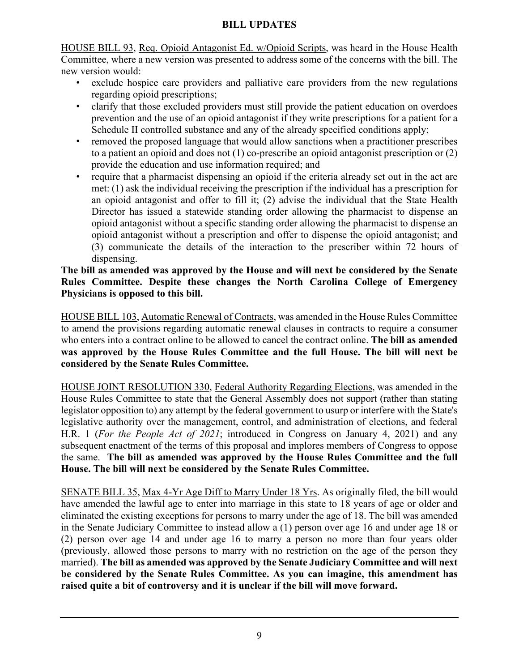## **BILL UPDATES**

HOUSE BILL 93, Req. Opioid Antagonist Ed. w/Opioid Scripts, was heard in the House Health Committee, where a new version was presented to address some of the concerns with the bill. The new version would:

- exclude hospice care providers and palliative care providers from the new regulations regarding opioid prescriptions;
- clarify that those excluded providers must still provide the patient education on overdoes prevention and the use of an opioid antagonist if they write prescriptions for a patient for a Schedule II controlled substance and any of the already specified conditions apply;
- removed the proposed language that would allow sanctions when a practitioner prescribes to a patient an opioid and does not (1) co-prescribe an opioid antagonist prescription or (2) provide the education and use information required; and
- require that a pharmacist dispensing an opioid if the criteria already set out in the act are met: (1) ask the individual receiving the prescription if the individual has a prescription for an opioid antagonist and offer to fill it; (2) advise the individual that the State Health Director has issued a statewide standing order allowing the pharmacist to dispense an opioid antagonist without a specific standing order allowing the pharmacist to dispense an opioid antagonist without a prescription and offer to dispense the opioid antagonist; and (3) communicate the details of the interaction to the prescriber within 72 hours of dispensing.

## **The bill as amended was approved by the House and will next be considered by the Senate Rules Committee. Despite these changes the North Carolina College of Emergency Physicians is opposed to this bill.**

HOUSE BILL 103, Automatic Renewal of Contracts, was amended in the House Rules Committee to amend the provisions regarding automatic renewal clauses in contracts to require a consumer who enters into a contract online to be allowed to cancel the contract online. **The bill as amended was approved by the House Rules Committee and the full House. The bill will next be considered by the Senate Rules Committee.**

HOUSE JOINT RESOLUTION 330, Federal Authority Regarding Elections, was amended in the House Rules Committee to state that the General Assembly does not support (rather than stating legislator opposition to) any attempt by the federal government to usurp or interfere with the State's legislative authority over the management, control, and administration of elections, and federal H.R. 1 (*For the People Act of 2021*; introduced in Congress on January 4, 2021) and any subsequent enactment of the terms of this proposal and implores members of Congress to oppose the same. **The bill as amended was approved by the House Rules Committee and the full House. The bill will next be considered by the Senate Rules Committee.**

SENATE BILL 35, Max 4-Yr Age Diff to Marry Under 18 Yrs. As originally filed, the bill would have amended the lawful age to enter into marriage in this state to 18 years of age or older and eliminated the existing exceptions for persons to marry under the age of 18. The bill was amended in the Senate Judiciary Committee to instead allow a (1) person over age 16 and under age 18 or (2) person over age 14 and under age 16 to marry a person no more than four years older (previously, allowed those persons to marry with no restriction on the age of the person they married). **The bill as amended was approved by the Senate Judiciary Committee and will next be considered by the Senate Rules Committee. As you can imagine, this amendment has raised quite a bit of controversy and it is unclear if the bill will move forward.**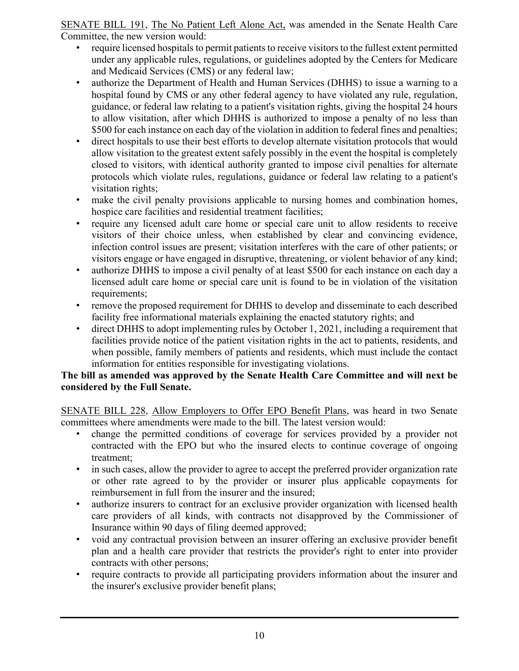SENATE BILL 191, The No Patient Left Alone Act, was amended in the Senate Health Care Committee, the new version would:

- require licensed hospitals to permit patients to receive visitors to the fullest extent permitted under any applicable rules, regulations, or guidelines adopted by the Centers for Medicare and Medicaid Services (CMS) or any federal law;
- authorize the Department of Health and Human Services (DHHS) to issue a warning to a hospital found by CMS or any other federal agency to have violated any rule, regulation, guidance, or federal law relating to a patient's visitation rights, giving the hospital 24 hours to allow visitation, after which DHHS is authorized to impose a penalty of no less than \$500 for each instance on each day of the violation in addition to federal fines and penalties;
- direct hospitals to use their best efforts to develop alternate visitation protocols that would allow visitation to the greatest extent safely possibly in the event the hospital is completely closed to visitors, with identical authority granted to impose civil penalties for alternate protocols which violate rules, regulations, guidance or federal law relating to a patient's visitation rights;
- make the civil penalty provisions applicable to nursing homes and combination homes, hospice care facilities and residential treatment facilities;
- require any licensed adult care home or special care unit to allow residents to receive visitors of their choice unless, when established by clear and convincing evidence, infection control issues are present; visitation interferes with the care of other patients; or visitors engage or have engaged in disruptive, threatening, or violent behavior of any kind;
- authorize DHHS to impose a civil penalty of at least \$500 for each instance on each day a licensed adult care home or special care unit is found to be in violation of the visitation requirements;
- remove the proposed requirement for DHHS to develop and disseminate to each described facility free informational materials explaining the enacted statutory rights; and
- direct DHHS to adopt implementing rules by October 1, 2021, including a requirement that facilities provide notice of the patient visitation rights in the act to patients, residents, and when possible, family members of patients and residents, which must include the contact information for entities responsible for investigating violations.

## **The bill as amended was approved by the Senate Health Care Committee and will next be considered by the Full Senate.**

SENATE BILL 228, Allow Employers to Offer EPO Benefit Plans, was heard in two Senate committees where amendments were made to the bill. The latest version would:

- change the permitted conditions of coverage for services provided by a provider not contracted with the EPO but who the insured elects to continue coverage of ongoing treatment;
- in such cases, allow the provider to agree to accept the preferred provider organization rate or other rate agreed to by the provider or insurer plus applicable copayments for reimbursement in full from the insurer and the insured;
- authorize insurers to contract for an exclusive provider organization with licensed health care providers of all kinds, with contracts not disapproved by the Commissioner of Insurance within 90 days of filing deemed approved;
- void any contractual provision between an insurer offering an exclusive provider benefit plan and a health care provider that restricts the provider's right to enter into provider contracts with other persons;
- require contracts to provide all participating providers information about the insurer and the insurer's exclusive provider benefit plans;